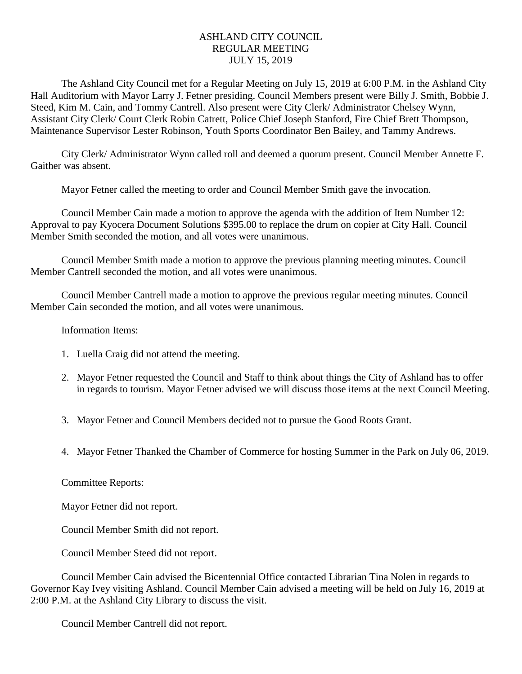## ASHLAND CITY COUNCIL REGULAR MEETING JULY 15, 2019

The Ashland City Council met for a Regular Meeting on July 15, 2019 at 6:00 P.M. in the Ashland City Hall Auditorium with Mayor Larry J. Fetner presiding. Council Members present were Billy J. Smith, Bobbie J. Steed, Kim M. Cain, and Tommy Cantrell. Also present were City Clerk/ Administrator Chelsey Wynn, Assistant City Clerk/ Court Clerk Robin Catrett, Police Chief Joseph Stanford, Fire Chief Brett Thompson, Maintenance Supervisor Lester Robinson, Youth Sports Coordinator Ben Bailey, and Tammy Andrews.

City Clerk/ Administrator Wynn called roll and deemed a quorum present. Council Member Annette F. Gaither was absent.

Mayor Fetner called the meeting to order and Council Member Smith gave the invocation.

Council Member Cain made a motion to approve the agenda with the addition of Item Number 12: Approval to pay Kyocera Document Solutions \$395.00 to replace the drum on copier at City Hall. Council Member Smith seconded the motion, and all votes were unanimous.

Council Member Smith made a motion to approve the previous planning meeting minutes. Council Member Cantrell seconded the motion, and all votes were unanimous.

Council Member Cantrell made a motion to approve the previous regular meeting minutes. Council Member Cain seconded the motion, and all votes were unanimous.

Information Items:

- 1. Luella Craig did not attend the meeting.
- 2. Mayor Fetner requested the Council and Staff to think about things the City of Ashland has to offer in regards to tourism. Mayor Fetner advised we will discuss those items at the next Council Meeting.
- 3. Mayor Fetner and Council Members decided not to pursue the Good Roots Grant.
- 4. Mayor Fetner Thanked the Chamber of Commerce for hosting Summer in the Park on July 06, 2019.

## Committee Reports:

Mayor Fetner did not report.

Council Member Smith did not report.

Council Member Steed did not report.

Council Member Cain advised the Bicentennial Office contacted Librarian Tina Nolen in regards to Governor Kay Ivey visiting Ashland. Council Member Cain advised a meeting will be held on July 16, 2019 at 2:00 P.M. at the Ashland City Library to discuss the visit.

Council Member Cantrell did not report.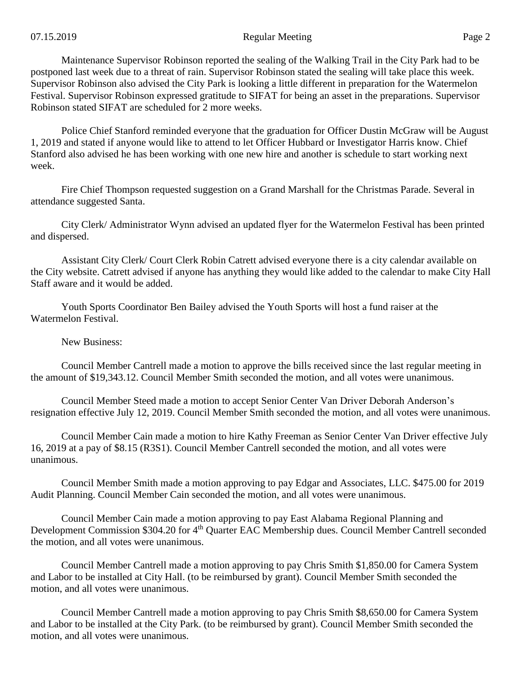Maintenance Supervisor Robinson reported the sealing of the Walking Trail in the City Park had to be postponed last week due to a threat of rain. Supervisor Robinson stated the sealing will take place this week. Supervisor Robinson also advised the City Park is looking a little different in preparation for the Watermelon Festival. Supervisor Robinson expressed gratitude to SIFAT for being an asset in the preparations. Supervisor Robinson stated SIFAT are scheduled for 2 more weeks.

Police Chief Stanford reminded everyone that the graduation for Officer Dustin McGraw will be August 1, 2019 and stated if anyone would like to attend to let Officer Hubbard or Investigator Harris know. Chief Stanford also advised he has been working with one new hire and another is schedule to start working next week.

Fire Chief Thompson requested suggestion on a Grand Marshall for the Christmas Parade. Several in attendance suggested Santa.

City Clerk/ Administrator Wynn advised an updated flyer for the Watermelon Festival has been printed and dispersed.

Assistant City Clerk/ Court Clerk Robin Catrett advised everyone there is a city calendar available on the City website. Catrett advised if anyone has anything they would like added to the calendar to make City Hall Staff aware and it would be added.

Youth Sports Coordinator Ben Bailey advised the Youth Sports will host a fund raiser at the Watermelon Festival.

New Business:

Council Member Cantrell made a motion to approve the bills received since the last regular meeting in the amount of \$19,343.12. Council Member Smith seconded the motion, and all votes were unanimous.

Council Member Steed made a motion to accept Senior Center Van Driver Deborah Anderson's resignation effective July 12, 2019. Council Member Smith seconded the motion, and all votes were unanimous.

Council Member Cain made a motion to hire Kathy Freeman as Senior Center Van Driver effective July 16, 2019 at a pay of \$8.15 (R3S1). Council Member Cantrell seconded the motion, and all votes were unanimous.

Council Member Smith made a motion approving to pay Edgar and Associates, LLC. \$475.00 for 2019 Audit Planning. Council Member Cain seconded the motion, and all votes were unanimous.

Council Member Cain made a motion approving to pay East Alabama Regional Planning and Development Commission \$304.20 for 4<sup>th</sup> Quarter EAC Membership dues. Council Member Cantrell seconded the motion, and all votes were unanimous.

Council Member Cantrell made a motion approving to pay Chris Smith \$1,850.00 for Camera System and Labor to be installed at City Hall. (to be reimbursed by grant). Council Member Smith seconded the motion, and all votes were unanimous.

Council Member Cantrell made a motion approving to pay Chris Smith \$8,650.00 for Camera System and Labor to be installed at the City Park. (to be reimbursed by grant). Council Member Smith seconded the motion, and all votes were unanimous.